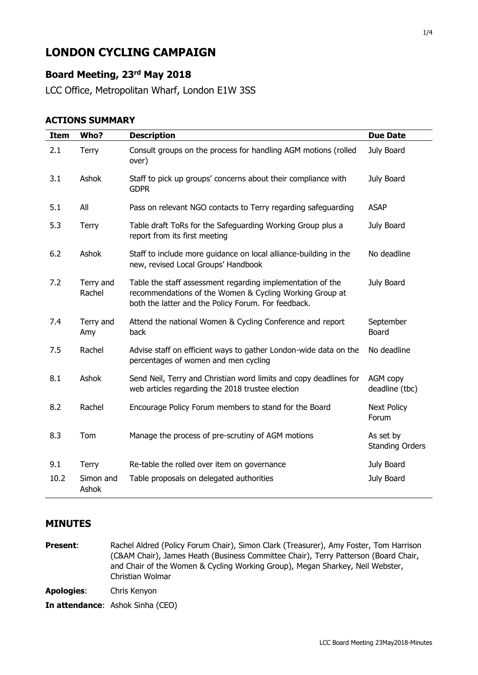# **LONDON CYCLING CAMPAIGN**

## **Board Meeting, 23rd May 2018**

LCC Office, Metropolitan Wharf, London E1W 3SS

#### **ACTIONS SUMMARY**

| <b>Item</b> | Who?                | <b>Description</b>                                                                                                                                                           | <b>Due Date</b>                     |
|-------------|---------------------|------------------------------------------------------------------------------------------------------------------------------------------------------------------------------|-------------------------------------|
| 2.1         | Terry               | Consult groups on the process for handling AGM motions (rolled<br>over)                                                                                                      | July Board                          |
| 3.1         | Ashok               | Staff to pick up groups' concerns about their compliance with<br><b>GDPR</b>                                                                                                 | July Board                          |
| 5.1         | All                 | Pass on relevant NGO contacts to Terry regarding safeguarding                                                                                                                | <b>ASAP</b>                         |
| 5.3         | Terry               | Table draft ToRs for the Safeguarding Working Group plus a<br>report from its first meeting                                                                                  | July Board                          |
| 6.2         | Ashok               | Staff to include more guidance on local alliance-building in the<br>new, revised Local Groups' Handbook                                                                      | No deadline                         |
| 7.2         | Terry and<br>Rachel | Table the staff assessment regarding implementation of the<br>recommendations of the Women & Cycling Working Group at<br>both the latter and the Policy Forum. For feedback. | July Board                          |
| 7.4         | Terry and<br>Amy    | Attend the national Women & Cycling Conference and report<br>back                                                                                                            | September<br><b>Board</b>           |
| 7.5         | Rachel              | Advise staff on efficient ways to gather London-wide data on the<br>percentages of women and men cycling                                                                     | No deadline                         |
| 8.1         | Ashok               | Send Neil, Terry and Christian word limits and copy deadlines for<br>web articles regarding the 2018 trustee election                                                        | AGM copy<br>deadline (tbc)          |
| 8.2         | Rachel              | Encourage Policy Forum members to stand for the Board                                                                                                                        | <b>Next Policy</b><br>Forum         |
| 8.3         | Tom                 | Manage the process of pre-scrutiny of AGM motions                                                                                                                            | As set by<br><b>Standing Orders</b> |
| 9.1         | <b>Terry</b>        | Re-table the rolled over item on governance                                                                                                                                  | July Board                          |
| 10.2        | Simon and<br>Ashok  | Table proposals on delegated authorities                                                                                                                                     | July Board                          |

#### **MINUTES**

**Present:** Rachel Aldred (Policy Forum Chair), Simon Clark (Treasurer), Amy Foster, Tom Harrison (C&AM Chair), James Heath (Business Committee Chair), Terry Patterson (Board Chair, and Chair of the Women & Cycling Working Group), Megan Sharkey, Neil Webster, Christian Wolmar

**Apologies**: Chris Kenyon

**In attendance**: Ashok Sinha (CEO)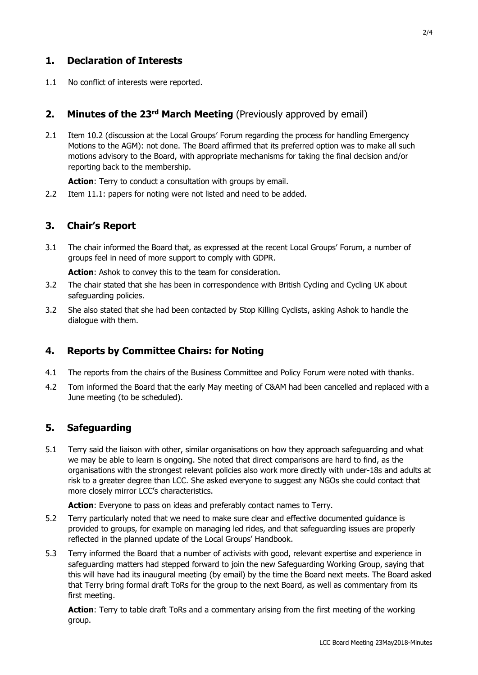## **1. Declaration of Interests**

1.1 No conflict of interests were reported.

#### **2. Minutes of the 23rd March Meeting** (Previously approved by email)

2.1 Item 10.2 (discussion at the Local Groups' Forum regarding the process for handling Emergency Motions to the AGM): not done. The Board affirmed that its preferred option was to make all such motions advisory to the Board, with appropriate mechanisms for taking the final decision and/or reporting back to the membership.

**Action**: Terry to conduct a consultation with groups by email.

2.2 Item 11.1: papers for noting were not listed and need to be added.

#### **3. Chair's Report**

3.1 The chair informed the Board that, as expressed at the recent Local Groups' Forum, a number of groups feel in need of more support to comply with GDPR.

**Action**: Ashok to convey this to the team for consideration.

- 3.2 The chair stated that she has been in correspondence with British Cycling and Cycling UK about safeguarding policies.
- 3.2 She also stated that she had been contacted by Stop Killing Cyclists, asking Ashok to handle the dialogue with them.

#### **4. Reports by Committee Chairs: for Noting**

- 4.1 The reports from the chairs of the Business Committee and Policy Forum were noted with thanks.
- 4.2 Tom informed the Board that the early May meeting of C&AM had been cancelled and replaced with a June meeting (to be scheduled).

#### **5. Safeguarding**

5.1 Terry said the liaison with other, similar organisations on how they approach safeguarding and what we may be able to learn is ongoing. She noted that direct comparisons are hard to find, as the organisations with the strongest relevant policies also work more directly with under-18s and adults at risk to a greater degree than LCC. She asked everyone to suggest any NGOs she could contact that more closely mirror LCC's characteristics.

Action: Everyone to pass on ideas and preferably contact names to Terry.

- 5.2 Terry particularly noted that we need to make sure clear and effective documented guidance is provided to groups, for example on managing led rides, and that safeguarding issues are properly reflected in the planned update of the Local Groups' Handbook.
- 5.3 Terry informed the Board that a number of activists with good, relevant expertise and experience in safeguarding matters had stepped forward to join the new Safeguarding Working Group, saying that this will have had its inaugural meeting (by email) by the time the Board next meets. The Board asked that Terry bring formal draft ToRs for the group to the next Board, as well as commentary from its first meeting.

**Action**: Terry to table draft ToRs and a commentary arising from the first meeting of the working group.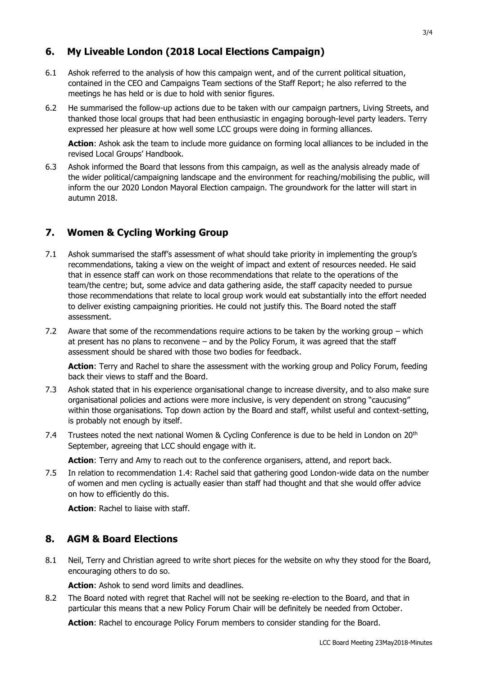## **6. My Liveable London (2018 Local Elections Campaign)**

- 6.1 Ashok referred to the analysis of how this campaign went, and of the current political situation, contained in the CEO and Campaigns Team sections of the Staff Report; he also referred to the meetings he has held or is due to hold with senior figures.
- 6.2 He summarised the follow-up actions due to be taken with our campaign partners, Living Streets, and thanked those local groups that had been enthusiastic in engaging borough-level party leaders. Terry expressed her pleasure at how well some LCC groups were doing in forming alliances.

**Action**: Ashok ask the team to include more guidance on forming local alliances to be included in the revised Local Groups' Handbook.

6.3 Ashok informed the Board that lessons from this campaign, as well as the analysis already made of the wider political/campaigning landscape and the environment for reaching/mobilising the public, will inform the our 2020 London Mayoral Election campaign. The groundwork for the latter will start in autumn 2018.

# **7. Women & Cycling Working Group**

- 7.1 Ashok summarised the staff's assessment of what should take priority in implementing the group's recommendations, taking a view on the weight of impact and extent of resources needed. He said that in essence staff can work on those recommendations that relate to the operations of the team/the centre; but, some advice and data gathering aside, the staff capacity needed to pursue those recommendations that relate to local group work would eat substantially into the effort needed to deliver existing campaigning priorities. He could not justify this. The Board noted the staff assessment.
- 7.2 Aware that some of the recommendations require actions to be taken by the working group which at present has no plans to reconvene – and by the Policy Forum, it was agreed that the staff assessment should be shared with those two bodies for feedback.

**Action**: Terry and Rachel to share the assessment with the working group and Policy Forum, feeding back their views to staff and the Board.

- 7.3 Ashok stated that in his experience organisational change to increase diversity, and to also make sure organisational policies and actions were more inclusive, is very dependent on strong "caucusing" within those organisations. Top down action by the Board and staff, whilst useful and context-setting, is probably not enough by itself.
- 7.4 Trustees noted the next national Women & Cycling Conference is due to be held in London on 20<sup>th</sup> September, agreeing that LCC should engage with it.

**Action**: Terry and Amy to reach out to the conference organisers, attend, and report back.

7.5 In relation to recommendation 1.4: Rachel said that gathering good London-wide data on the number of women and men cycling is actually easier than staff had thought and that she would offer advice on how to efficiently do this.

**Action**: Rachel to liaise with staff.

## **8. AGM & Board Elections**

8.1 Neil, Terry and Christian agreed to write short pieces for the website on why they stood for the Board, encouraging others to do so.

**Action**: Ashok to send word limits and deadlines.

8.2 The Board noted with regret that Rachel will not be seeking re-election to the Board, and that in particular this means that a new Policy Forum Chair will be definitely be needed from October.

**Action**: Rachel to encourage Policy Forum members to consider standing for the Board.